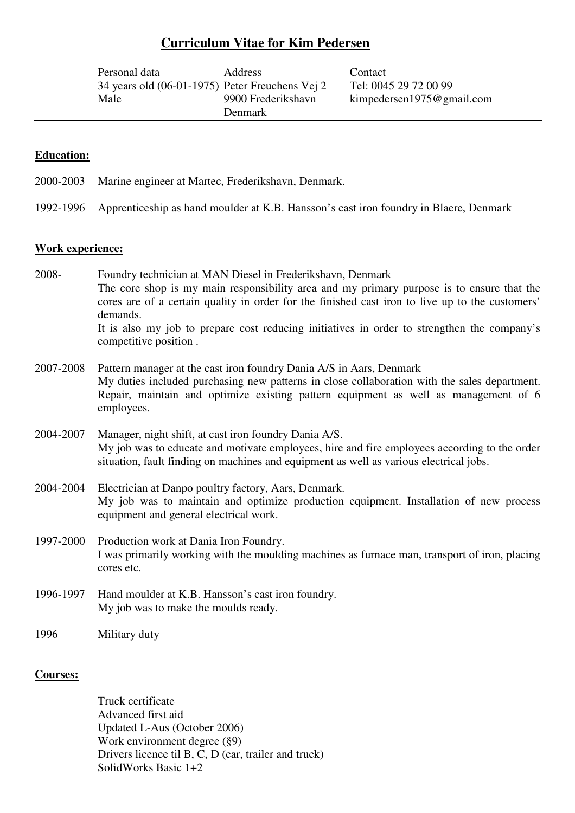# **Curriculum Vitae for Kim Pedersen**

| Personal data                                   | Address            | Contact               |
|-------------------------------------------------|--------------------|-----------------------|
| 34 years old (06-01-1975) Peter Freuchens Vej 2 |                    | Tel: 0045 29 72 00 99 |
| Male                                            | 9900 Frederikshavn | kimpedersen1975@gm    |
|                                                 | <b>Denmark</b>     |                       |

# 975@gmail.com

## **Education:**

- 2000-2003 Marine engineer at Martec, Frederikshavn, Denmark.
- 1992-1996 Apprenticeship as hand moulder at K.B. Hansson's cast iron foundry in Blaere, Denmark

### **Work experience:**

2008- Foundry technician at MAN Diesel in Frederikshavn, Denmark The core shop is my main responsibility area and my primary purpose is to ensure that the cores are of a certain quality in order for the finished cast iron to live up to the customers' demands. It is also my job to prepare cost reducing initiatives in order to strengthen the company's competitive position .

- 2007-2008 Pattern manager at the cast iron foundry Dania A/S in Aars, Denmark My duties included purchasing new patterns in close collaboration with the sales department. Repair, maintain and optimize existing pattern equipment as well as management of 6 employees.
- 2004-2007 Manager, night shift, at cast iron foundry Dania A/S. My job was to educate and motivate employees, hire and fire employees according to the order situation, fault finding on machines and equipment as well as various electrical jobs.
- 2004-2004 Electrician at Danpo poultry factory, Aars, Denmark. My job was to maintain and optimize production equipment. Installation of new process equipment and general electrical work.
- 1997-2000 Production work at Dania Iron Foundry. I was primarily working with the moulding machines as furnace man, transport of iron, placing cores etc.
- 1996-1997 Hand moulder at K.B. Hansson's cast iron foundry. My job was to make the moulds ready.

1996 Military duty

## **Courses:**

 Truck certificate Advanced first aid Updated L-Aus (October 2006) Work environment degree (§9) Drivers licence til B, C, D (car, trailer and truck) SolidWorks Basic  $1+2$